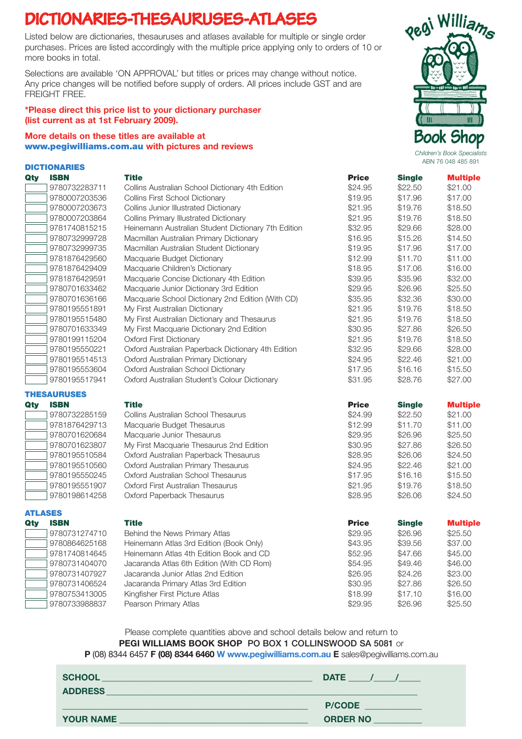## **DICTIONARIES-THESAURUSES-ATLASES**

Listed below are dictionaries, thesauruses and atlases available for multiple or single order purchases. Prices are listed accordingly with the multiple price applying only to orders of 10 or more books in total.

Selections are available 'ON APPROVAL' but titles or prices may change without notice. Any price changes will be notified before supply of orders. All prices include GST and are FREIGHT FRFF

#### \*Please direct this price list to your dictionary purchaser (list current as at 1st February 2009).

### More details on these titles are available at **More details on these titles are available at** *Children's Book Shop**Children's Book Specialists***<br>** *Children's Book Specialists*

| <b>DICTIONARIES</b> |               |                                                     |              |               | <b>ADIY 70 040 400 091</b> |  |
|---------------------|---------------|-----------------------------------------------------|--------------|---------------|----------------------------|--|
| Qty                 | <b>ISBN</b>   | <b>Title</b>                                        | <b>Price</b> | <b>Single</b> | <b>Multiple</b>            |  |
|                     | 9780732283711 | Collins Australian School Dictionary 4th Edition    | \$24.95      | \$22.50       | \$21.00                    |  |
|                     | 9780007203536 | <b>Collins First School Dictionary</b>              | \$19.95      | \$17.96       | \$17.00                    |  |
|                     | 9780007203673 | Collins Junior Illustrated Dictionary               | \$21.95      | \$19.76       | \$18.50                    |  |
|                     | 9780007203864 | Collins Primary Illustrated Dictionary              | \$21.95      | \$19.76       | \$18.50                    |  |
|                     | 9781740815215 | Heinemann Australian Student Dictionary 7th Edition | \$32.95      | \$29.66       | \$28.00                    |  |
|                     | 9780732999728 | Macmillan Australian Primary Dictionary             | \$16.95      | \$15.26       | \$14.50                    |  |
|                     | 9780732999735 | Macmillan Australian Student Dictionary             | \$19.95      | \$17.96       | \$17.00                    |  |
|                     | 9781876429560 | Macquarie Budget Dictionary                         | \$12.99      | \$11.70       | \$11.00                    |  |
|                     | 9781876429409 | Macquarie Children's Dictionary                     | \$18.95      | \$17.06       | \$16.00                    |  |
|                     | 9781876429591 | Macquarie Concise Dictionary 4th Edition            | \$39.95      | \$35.96       | \$32.00                    |  |
|                     | 9780701633462 | Macquarie Junior Dictionary 3rd Edition             | \$29.95      | \$26.96       | \$25.50                    |  |
|                     | 9780701636166 | Macquarie School Dictionary 2nd Edition (With CD)   | \$35.95      | \$32.36       | \$30,00                    |  |
|                     | 9780195551891 | My First Australian Dictionary                      | \$21.95      | \$19.76       | \$18.50                    |  |
|                     | 9780195515480 | My First Australian Dictionary and Thesaurus        | \$21.95      | \$19.76       | \$18.50                    |  |
|                     | 9780701633349 | My First Macquarie Dictionary 2nd Edition           | \$30.95      | \$27.86       | \$26,50                    |  |
|                     | 9780199115204 | <b>Oxford First Dictionary</b>                      | \$21.95      | \$19.76       | \$18.50                    |  |
|                     | 9780195550221 | Oxford Australian Paperback Dictionary 4th Edition  | \$32.95      | \$29.66       | \$28.00                    |  |
|                     | 9780195514513 | Oxford Australian Primary Dictionary                | \$24.95      | \$22.46       | \$21.00                    |  |
|                     | 9780195553604 | Oxford Australian School Dictionary                 | \$17.95      | \$16.16       | \$15.50                    |  |
|                     | 9780195517941 | Oxford Australian Student's Colour Dictionary       | \$31.95      | \$28.76       | \$27.00                    |  |

#### THESAURUSES

| Qty | <b>ISBN</b>   |
|-----|---------------|
|     | 9780732285159 |
|     | 9781876429713 |
|     | 9780701620684 |
|     | 9780701623807 |
|     | 9780195510584 |
|     | 9780195510560 |
|     | 9780195550245 |
|     | 9780195551907 |
|     | 9780198614258 |

## ATLASES



|     | 9780732999735      | Macmillan Australian Student Dictionary            | \$19.95      | \$17.96       | \$17.00         |
|-----|--------------------|----------------------------------------------------|--------------|---------------|-----------------|
|     | 9781876429560      | Macquarie Budget Dictionary                        | \$12.99      | \$11.70       | \$11.00         |
|     | 9781876429409      | Macquarie Children's Dictionary                    | \$18.95      | \$17.06       | \$16.00         |
|     | 9781876429591      | Macquarie Concise Dictionary 4th Edition           | \$39.95      | \$35.96       | \$32.00         |
|     | 9780701633462      | Macquarie Junior Dictionary 3rd Edition            | \$29.95      | \$26.96       | \$25.50         |
|     | 9780701636166      | Macquarie School Dictionary 2nd Edition (With CD)  | \$35.95      | \$32.36       | \$30.00         |
|     | 9780195551891      | My First Australian Dictionary                     | \$21.95      | \$19.76       | \$18.50         |
|     | 9780195515480      | My First Australian Dictionary and Thesaurus       | \$21.95      | \$19.76       | \$18.50         |
|     | 9780701633349      | My First Macquarie Dictionary 2nd Edition          | \$30.95      | \$27.86       | \$26.50         |
|     | 9780199115204      | <b>Oxford First Dictionary</b>                     | \$21.95      | \$19.76       | \$18.50         |
|     | 9780195550221      | Oxford Australian Paperback Dictionary 4th Edition | \$32.95      | \$29.66       | \$28.00         |
|     | 9780195514513      | Oxford Australian Primary Dictionary               | \$24.95      | \$22.46       | \$21.00         |
|     | 9780195553604      | Oxford Australian School Dictionary                | \$17.95      | \$16.16       | \$15.50         |
|     | 9780195517941      | Oxford Australian Student's Colour Dictionary      | \$31.95      | \$28.76       | \$27.00         |
|     | <b>THESAURUSES</b> |                                                    |              |               |                 |
| Qty | <b>ISBN</b>        | <b>Title</b>                                       | <b>Price</b> | <b>Single</b> | <b>Multiple</b> |
|     | 9780732285159      | Collins Australian School Thesaurus                | \$24.99      | \$22.50       | \$21.00         |
|     | 9781876429713      | Macquarie Budget Thesaurus                         | \$12.99      | \$11.70       | \$11.00         |
|     | 9780701620684      | Macquarie Junior Thesaurus                         | \$29.95      | \$26.96       | \$25.50         |
|     | 9780701623807      | My First Macquarie Thesaurus 2nd Edition           | \$30.95      | \$27.86       | \$26.50         |
|     | 9780195510584      | Oxford Australian Paperback Thesaurus              | \$28.95      | \$26.06       | \$24.50         |
|     | 9780195510560      | Oxford Australian Primary Thesaurus                | \$24.95      | \$22.46       | \$21.00         |
|     | 9780195550245      | Oxford Australian School Thesaurus                 | \$17.95      | \$16.16       | \$15.50         |
|     | 9780195551907      | Oxford First Australian Thesaurus                  | \$21.95      | \$19.76       | \$18.50         |
|     | 9780198614258      | Oxford Paperback Thesaurus                         | \$28.95      | \$26.06       | \$24.50         |
|     | <b>ATLASES</b>     |                                                    |              |               |                 |
| Qty | <b>ISBN</b>        | <b>Title</b>                                       | <b>Price</b> | <b>Single</b> | <b>Multiple</b> |
|     | 9780731274710      | Behind the News Primary Atlas                      | \$29.95      | \$26.96       | \$25.50         |
|     | 9780864625168      | Heinemann Atlas 3rd Edition (Book Only)            | \$43.95      | \$39.56       | \$37.00         |
|     | 9781740814645      | Heinemann Atlas 4th Edition Book and CD            | \$52.95      | \$47.66       | \$45.00         |
|     | 9780731404070      | Jacaranda Atlas 6th Edition (With CD Rom)          | \$54.95      | \$49.46       | \$46.00         |
|     | 9780731407927      | Jacaranda Junior Atlas 2nd Edition                 | \$26.95      | \$24.26       | \$23.00         |
|     | 9780731406524      | Jacaranda Primary Atlas 3rd Edition                | \$30.95      | \$27.86       | \$26.50         |
|     | 9780753413005      | Kingfisher First Picture Atlas                     | \$18.99      | \$17.10       | \$16.00         |

Please complete quantities above and school details below and return to PEGI WILLIAMS BOOK SHOP PO BOX 1 COLLINSWOOD SA 5081 or P (08) 8344 6457 F (08) 8344 6460 W www.pegiwilliams.com.au E sales@pegiwilliams.com.au

| <b>SCHOOL</b><br><b>ADDRESS</b> | <b>DATE</b>                      |
|---------------------------------|----------------------------------|
| <b>YOUR NAME</b>                | <b>P/CODE</b><br><b>ORDER NO</b> |



ABN 76 048 485 891